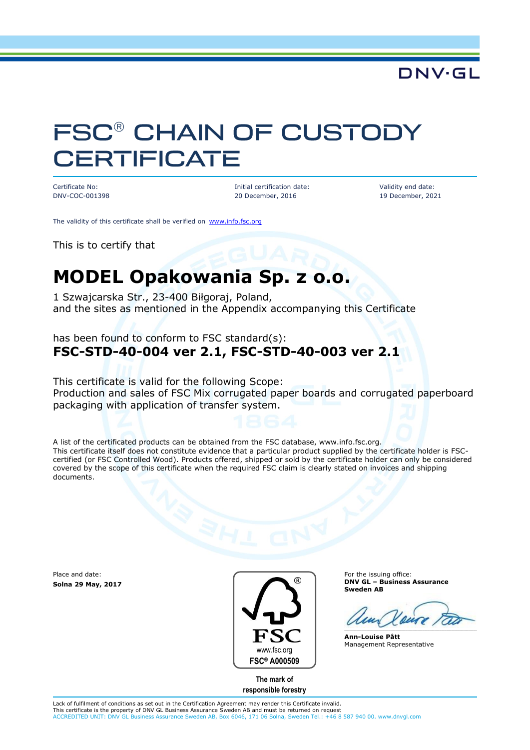### DNV·GL

# **FSC® CHAIN OF CUSTODY CERTIFICATE**

Certificate No: DNV-COC-001398 Initial certification date: 20 December, 2016

Validity end date: 19 December, 2021

The validity of this certificate shall be verified on [www.info.fsc.org](http://www.info.fsc.org/)

This is to certify that

# **MODEL Opakowania Sp. z o.o.**

1 Szwajcarska Str., 23-400 Biłgoraj, Poland, and the sites as mentioned in the Appendix accompanying this Certificate

has been found to conform to FSC standard(s): **FSC-STD-40-004 ver 2.1, FSC-STD-40-003 ver 2.1**

This certificate is valid for the following Scope: Production and sales of FSC Mix corrugated paper boards and corrugated paperboard packaging with application of transfer system.

A list of the certificated products can be obtained from the FSC database, www.info.fsc.org. This certificate itself does not constitute evidence that a particular product supplied by the certificate holder is FSCcertified (or FSC Controlled Wood). Products offered, shipped or sold by the certificate holder can only be considered covered by the scope of this certificate when the required FSC claim is clearly stated on invoices and shipping documents.

Place and date: **Solna 29 May, 2017**



For the issuing office: **DNV GL – Business Assurance Sweden AB**

**Ann-Louise Pått** Management Representative

**The mark of responsible forestry**